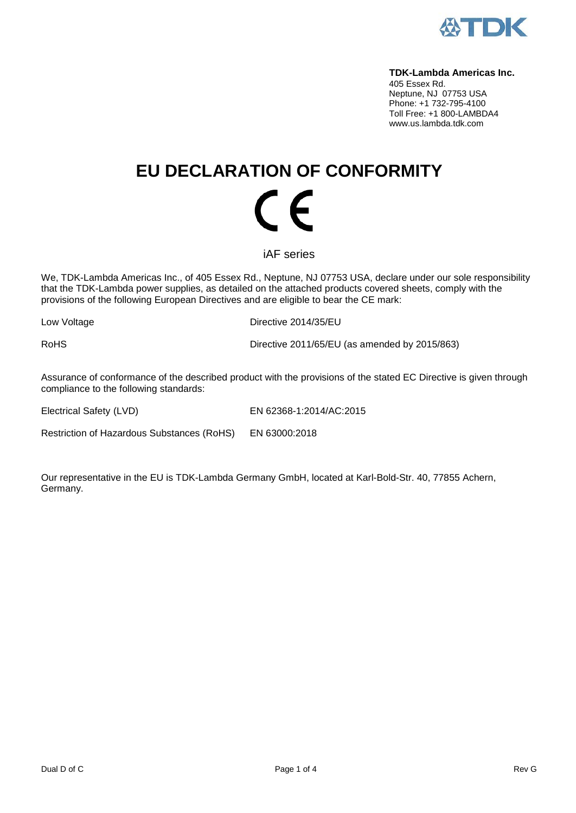

#### **TDK-Lambda Americas Inc.**

405 Essex Rd. Neptune, NJ 07753 USA Phone: +1 732-795-4100 Toll Free: +1 800-LAMBDA4 www.us.lambda.tdk.com

# **EU DECLARATION OF CONFORMITY** (  $\epsilon$

iAF series

We, TDK-Lambda Americas Inc., of 405 Essex Rd., Neptune, NJ 07753 USA, declare under our sole responsibility that the TDK-Lambda power supplies, as detailed on the attached products covered sheets, comply with the provisions of the following European Directives and are eligible to bear the CE mark:

Low Voltage **Directive 2014/35/EU** 

RoHS Directive 2011/65/EU (as amended by 2015/863)

Assurance of conformance of the described product with the provisions of the stated EC Directive is given through compliance to the following standards:

Electrical Safety (LVD) EN 62368-1:2014/AC:2015

Restriction of Hazardous Substances (RoHS) EN 63000:2018

Our representative in the EU is TDK-Lambda Germany GmbH, located at Karl-Bold-Str. 40, 77855 Achern, Germany.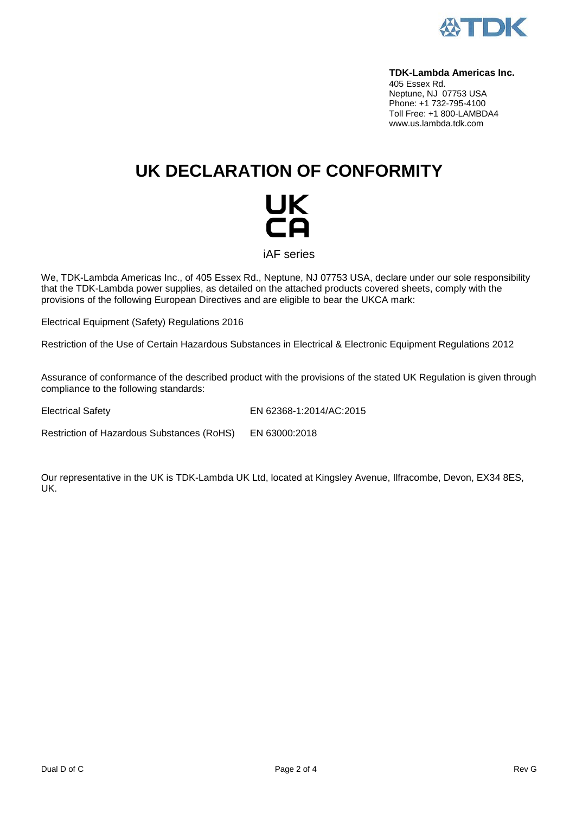

#### **TDK-Lambda Americas Inc.**

405 Essex Rd. Neptune, NJ 07753 USA Phone: +1 732-795-4100 Toll Free: +1 800-LAMBDA4 www.us.lambda.tdk.com

## **UK DECLARATION OF CONFORMITY**



iAF series

We, TDK-Lambda Americas Inc., of 405 Essex Rd., Neptune, NJ 07753 USA, declare under our sole responsibility that the TDK-Lambda power supplies, as detailed on the attached products covered sheets, comply with the provisions of the following European Directives and are eligible to bear the UKCA mark:

Electrical Equipment (Safety) Regulations 2016

Restriction of the Use of Certain Hazardous Substances in Electrical & Electronic Equipment Regulations 2012

Assurance of conformance of the described product with the provisions of the stated UK Regulation is given through compliance to the following standards:

Electrical Safety EN 62368-1:2014/AC:2015

Restriction of Hazardous Substances (RoHS) EN 63000:2018

Our representative in the UK is TDK-Lambda UK Ltd, located at Kingsley Avenue, Ilfracombe, Devon, EX34 8ES, UK.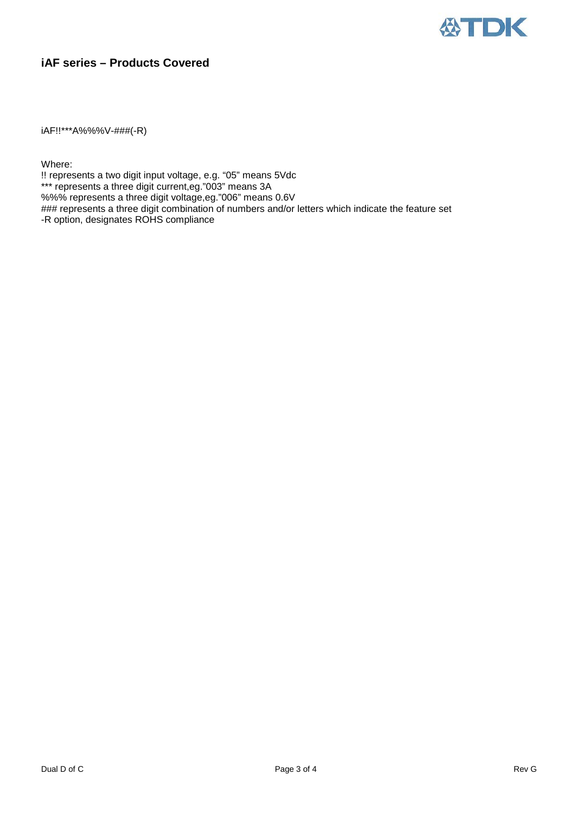

### **iAF series – Products Covered**

iAF!!\*\*\*A%%%V-###(-R)

Where:

!! represents a two digit input voltage, e.g. "05" means 5Vdc \*\*\* represents a three digit current,eg."003" means 3A %%% represents a three digit voltage,eg."006" means 0.6V ### represents a three digit combination of numbers and/or letters which indicate the feature set -R option, designates ROHS compliance